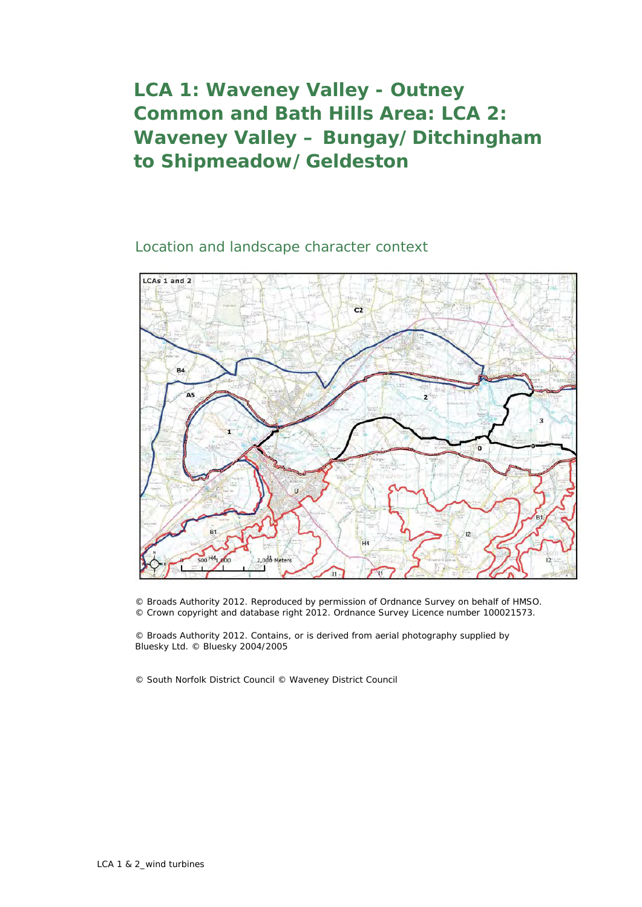## **LCA 1: Waveney Valley - Outney Common and Bath Hills Area: LCA 2: Waveney Valley – Bungay/Ditchingham to Shipmeadow/Geldeston**

Location and landscape character context



© Broads Authority 2012. Reproduced by permission of Ordnance Survey on behalf of HMSO. © Crown copyright and database right 2012. Ordnance Survey Licence number 100021573.

© Broads Authority 2012. Contains, or is derived from aerial photography supplied by Bluesky Ltd. © Bluesky 2004/2005

© South Norfolk District Council © Waveney District Council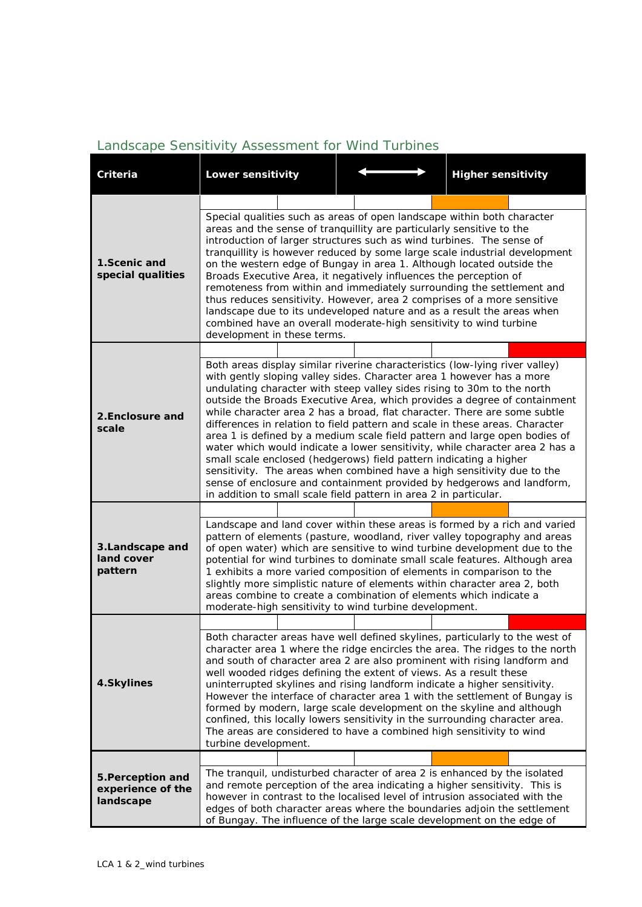## *Landscape Sensitivity Assessment for Wind Turbines*

| <b>Criteria</b>                                     | Lower sensitivity                                                                                                                                                                                                                                                                                                                                                                                                                                                                                                                                                                                                                                                                                                                                                                                                                                                                                                                        |  | <b>Higher sensitivity</b>                                                    |  |  |  |  |  |
|-----------------------------------------------------|------------------------------------------------------------------------------------------------------------------------------------------------------------------------------------------------------------------------------------------------------------------------------------------------------------------------------------------------------------------------------------------------------------------------------------------------------------------------------------------------------------------------------------------------------------------------------------------------------------------------------------------------------------------------------------------------------------------------------------------------------------------------------------------------------------------------------------------------------------------------------------------------------------------------------------------|--|------------------------------------------------------------------------------|--|--|--|--|--|
| 1.Scenic and<br>special qualities                   | Special qualities such as areas of open landscape within both character<br>areas and the sense of tranquillity are particularly sensitive to the<br>introduction of larger structures such as wind turbines. The sense of<br>tranquillity is however reduced by some large scale industrial development<br>on the western edge of Bungay in area 1. Although located outside the<br>Broads Executive Area, it negatively influences the perception of<br>remoteness from within and immediately surrounding the settlement and<br>thus reduces sensitivity. However, area 2 comprises of a more sensitive<br>landscape due to its undeveloped nature and as a result the areas when<br>combined have an overall moderate-high sensitivity to wind turbine<br>development in these terms.                                                                                                                                                 |  |                                                                              |  |  |  |  |  |
| 2. Enclosure and<br>scale                           | Both areas display similar riverine characteristics (low-lying river valley)<br>with gently sloping valley sides. Character area 1 however has a more<br>undulating character with steep valley sides rising to 30m to the north<br>outside the Broads Executive Area, which provides a degree of containment<br>while character area 2 has a broad, flat character. There are some subtle<br>differences in relation to field pattern and scale in these areas. Character<br>area 1 is defined by a medium scale field pattern and large open bodies of<br>water which would indicate a lower sensitivity, while character area 2 has a<br>small scale enclosed (hedgerows) field pattern indicating a higher<br>sensitivity. The areas when combined have a high sensitivity due to the<br>sense of enclosure and containment provided by hedgerows and landform,<br>in addition to small scale field pattern in area 2 in particular. |  |                                                                              |  |  |  |  |  |
| 3.Landscape and<br>land cover<br>pattern            | Landscape and land cover within these areas is formed by a rich and varied<br>pattern of elements (pasture, woodland, river valley topography and areas<br>of open water) which are sensitive to wind turbine development due to the<br>potential for wind turbines to dominate small scale features. Although area<br>1 exhibits a more varied composition of elements in comparison to the<br>slightly more simplistic nature of elements within character area 2, both<br>areas combine to create a combination of elements which indicate a<br>moderate-high sensitivity to wind turbine development.                                                                                                                                                                                                                                                                                                                                |  |                                                                              |  |  |  |  |  |
| 4.Skylines                                          | Both character areas have well defined skylines, particularly to the west of<br>and south of character area 2 are also prominent with rising landform and<br>well wooded ridges defining the extent of views. As a result these<br>uninterrupted skylines and rising landform indicate a higher sensitivity.<br>However the interface of character area 1 with the settlement of Bungay is<br>formed by modern, large scale development on the skyline and although<br>confined, this locally lowers sensitivity in the surrounding character area.<br>The areas are considered to have a combined high sensitivity to wind<br>turbine development.                                                                                                                                                                                                                                                                                      |  | character area 1 where the ridge encircles the area. The ridges to the north |  |  |  |  |  |
| 5. Perception and<br>experience of the<br>landscape | The tranquil, undisturbed character of area 2 is enhanced by the isolated<br>and remote perception of the area indicating a higher sensitivity. This is<br>however in contrast to the localised level of intrusion associated with the<br>edges of both character areas where the boundaries adjoin the settlement<br>of Bungay. The influence of the large scale development on the edge of                                                                                                                                                                                                                                                                                                                                                                                                                                                                                                                                             |  |                                                                              |  |  |  |  |  |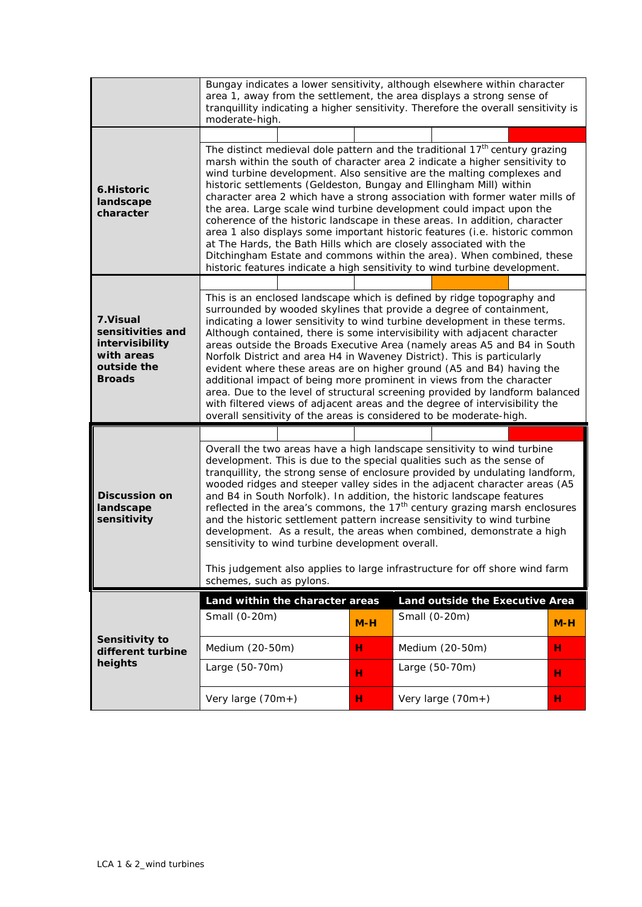|                                                                                                 | Bungay indicates a lower sensitivity, although elsewhere within character<br>area 1, away from the settlement, the area displays a strong sense of<br>tranquillity indicating a higher sensitivity. Therefore the overall sensitivity is<br>moderate-high.                                                                                                                                                                                                                                                                                                                                                                                                                                                                                                                                                                                                              |        |                                                  |        |  |  |  |
|-------------------------------------------------------------------------------------------------|-------------------------------------------------------------------------------------------------------------------------------------------------------------------------------------------------------------------------------------------------------------------------------------------------------------------------------------------------------------------------------------------------------------------------------------------------------------------------------------------------------------------------------------------------------------------------------------------------------------------------------------------------------------------------------------------------------------------------------------------------------------------------------------------------------------------------------------------------------------------------|--------|--------------------------------------------------|--------|--|--|--|
| 6.Historic<br>landscape<br>character                                                            | The distinct medieval dole pattern and the traditional 17 <sup>th</sup> century grazing<br>marsh within the south of character area 2 indicate a higher sensitivity to<br>wind turbine development. Also sensitive are the malting complexes and<br>historic settlements (Geldeston, Bungay and Ellingham Mill) within<br>character area 2 which have a strong association with former water mills of<br>the area. Large scale wind turbine development could impact upon the<br>coherence of the historic landscape in these areas. In addition, character<br>area 1 also displays some important historic features (i.e. historic common<br>at The Hards, the Bath Hills which are closely associated with the<br>Ditchingham Estate and commons within the area). When combined, these<br>historic features indicate a high sensitivity to wind turbine development. |        |                                                  |        |  |  |  |
| 7. Visual<br>sensitivities and<br>intervisibility<br>with areas<br>outside the<br><b>Broads</b> | This is an enclosed landscape which is defined by ridge topography and<br>surrounded by wooded skylines that provide a degree of containment,<br>indicating a lower sensitivity to wind turbine development in these terms.<br>Although contained, there is some intervisibility with adjacent character<br>areas outside the Broads Executive Area (namely areas A5 and B4 in South<br>Norfolk District and area H4 in Waveney District). This is particularly<br>evident where these areas are on higher ground (A5 and B4) having the<br>additional impact of being more prominent in views from the character<br>area. Due to the level of structural screening provided by landform balanced<br>with filtered views of adjacent areas and the degree of intervisibility the<br>overall sensitivity of the areas is considered to be moderate-high.                 |        |                                                  |        |  |  |  |
| <b>Discussion on</b><br>landscape<br>sensitivity                                                | Overall the two areas have a high landscape sensitivity to wind turbine<br>development. This is due to the special qualities such as the sense of<br>tranquillity, the strong sense of enclosure provided by undulating landform,<br>wooded ridges and steeper valley sides in the adjacent character areas (A5<br>and B4 in South Norfolk). In addition, the historic landscape features<br>reflected in the area's commons, the 17 <sup>th</sup> century grazing marsh enclosures<br>and the historic settlement pattern increase sensitivity to wind turbine<br>development. As a result, the areas when combined, demonstrate a high<br>sensitivity to wind turbine development overall.<br>This judgement also applies to large infrastructure for off shore wind farm<br>schemes, such as pylons.                                                                 |        |                                                  |        |  |  |  |
|                                                                                                 | Land within the character areas<br>Small (0-20m)                                                                                                                                                                                                                                                                                                                                                                                                                                                                                                                                                                                                                                                                                                                                                                                                                        | $M-H$  | Land outside the Executive Area<br>Small (0-20m) | $M-H$  |  |  |  |
| Sensitivity to<br>different turbine<br>heights                                                  | Medium (20-50m)<br>Large (50-70m)                                                                                                                                                                                                                                                                                                                                                                                                                                                                                                                                                                                                                                                                                                                                                                                                                                       | н      | Medium (20-50m)<br>Large (50-70m)                | н      |  |  |  |
|                                                                                                 | Very large (70m+)                                                                                                                                                                                                                                                                                                                                                                                                                                                                                                                                                                                                                                                                                                                                                                                                                                                       | н<br>н | Very large (70m+)                                | н<br>н |  |  |  |